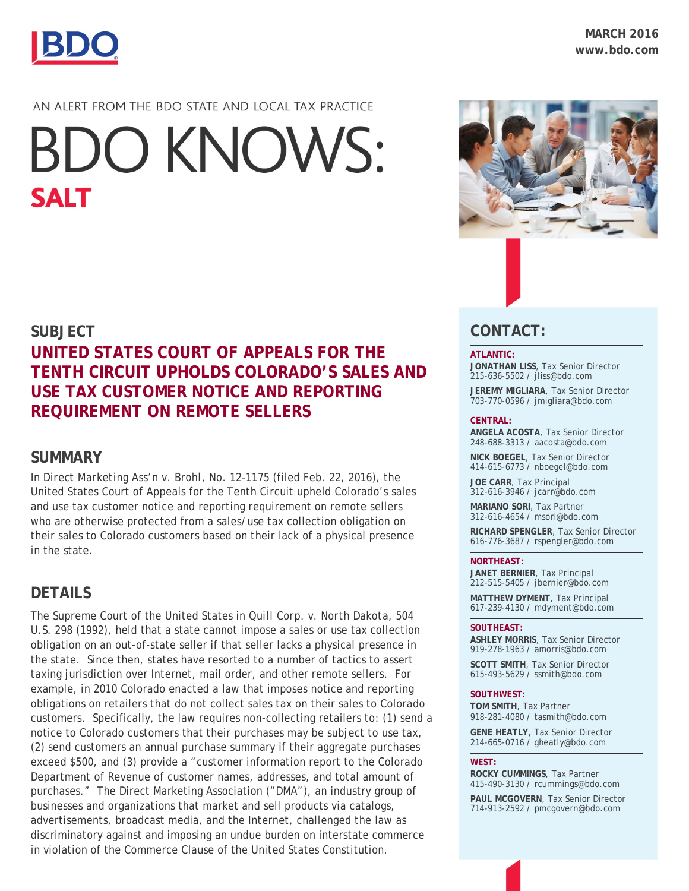

## AN ALERT FROM THE BDO STATE AND LOCAL TAX PRACTICE

# **BDO KNOWS: SALT**

## **SUBJECT**

# **UNITED STATES COURT OF APPEALS FOR THE TENTH CIRCUIT UPHOLDS COLORADO'S SALES AND USE TAX CUSTOMER NOTICE AND REPORTING REQUIREMENT ON REMOTE SELLERS**

## **SUMMARY**

In *Direct Marketing Ass'n v. Brohl*, No. 12-1175 (filed Feb. 22, 2016), the United States Court of Appeals for the Tenth Circuit upheld Colorado's sales and use tax customer notice and reporting requirement on remote sellers who are otherwise protected from a sales/use tax collection obligation on their sales to Colorado customers based on their lack of a physical presence in the state.

## **DETAILS**

The Supreme Court of the United States in *Quill Corp. v. North Dakota,* 504 U.S. 298 (1992), held that a state cannot impose a sales or use tax collection obligation on an out-of-state seller if that seller lacks a physical presence in the state. Since then, states have resorted to a number of tactics to assert taxing jurisdiction over Internet, mail order, and other remote sellers. For example, in 2010 Colorado enacted a law that imposes notice and reporting obligations on retailers that do not collect sales tax on their sales to Colorado customers. Specifically, the law requires non-collecting retailers to: (1) send a notice to Colorado customers that their purchases may be subject to use tax, (2) send customers an annual purchase summary if their aggregate purchases exceed \$500, and (3) provide a "customer information report to the Colorado Department of Revenue of customer names, addresses, and total amount of purchases." The Direct Marketing Association ("DMA"), an industry group of businesses and organizations that market and sell products via catalogs, advertisements, broadcast media, and the Internet, challenged the law as discriminatory against and imposing an undue burden on interstate commerce in violation of the Commerce Clause of the United States Constitution.



## **CONTACT:**

#### **ATLANTIC:**

**JONATHAN LISS**, Tax Senior Director 215-636-5502 / [jliss@bdo.com](mailto:jliss@bdo.com)

**JEREMY MIGLIARA**, Tax Senior Director 703-770-0596 / jmigliara@bdo.com

#### **CENTRAL:**

**ANGELA ACOSTA**, Tax Senior Director 248-688-3313 / [aacosta@bdo.com](mailto:aacosta@bdo.com)

**NICK BOEGEL**, Tax Senior Director 414-615-6773 / nboegel@bdo.com

**JOE CARR**, Tax Principal 312-616-3946 / [jcarr@bdo.com](mailto:jcarr@bdo.com)

**MARIANO SORI**, Tax Partner 312-616-4654 / [msori@bdo.com](mailto:msori@bdo.com)

**RICHARD SPENGLER**, Tax Senior Director 616-776-3687 / [rspengler@bdo.com](mailto:rspengler@bdo.com)

#### **NORTHEAST:**

**JANET BERNIER**, Tax Principal 212-515-5405 / [jbernier@bdo.com](mailto:jbernier@bdo.com)

**MATTHEW DYMENT**, Tax Principal 617-239-4130 / [mdyment@bdo.com](mailto:mdyment@bdo.com)

#### **SOUTHEAST:**

**ASHLEY MORRIS**, Tax Senior Director 919-278-1963 / [amorris@bdo.com](mailto:msiegel@bdo.com)

**SCOTT SMITH**, Tax Senior Director 615-493-5629 / ssmith@bdo.com

#### **SOUTHWEST:**

**TOM SMITH**, Tax Partner 918-281-4080 / [tasmith@bdo.com](mailto:tasmith@bdo.com)

**GENE HEATLY**, Tax Senior Director 214-665-0716 / [gheatly@bdo.com](mailto:gheatly@bdo.com%0b)

#### **WEST:**

**ROCKY CUMMINGS**, Tax Partner 415-490-3130 / [rcummings@bdo.com](mailto:rcummings@bdo.com)

**PAUL MCGOVERN**, Tax Senior Director 714-913-2592 / [pmcgovern@bdo.com](mailto:pmcgovern@bdo.com)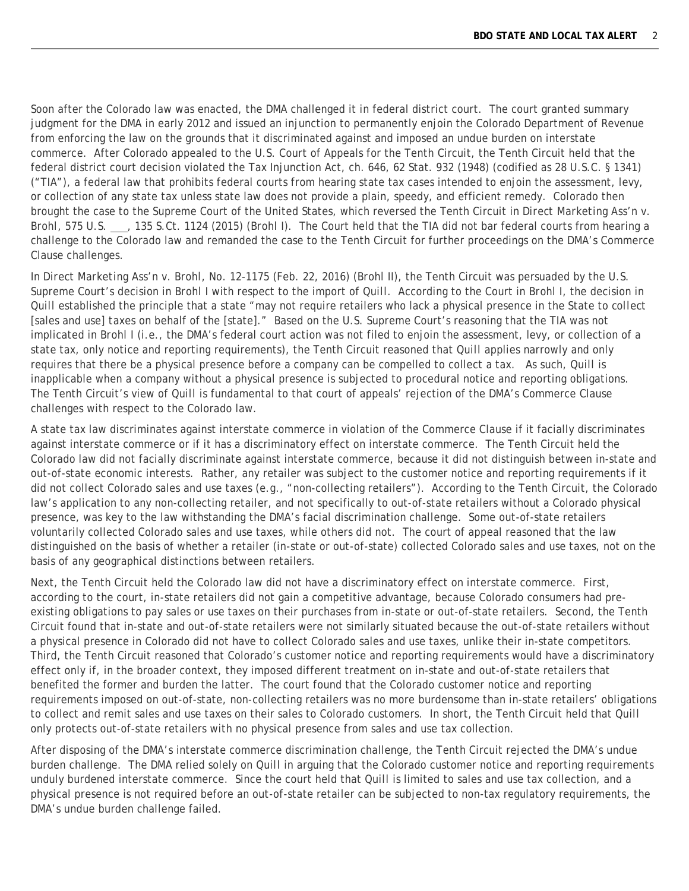Soon after the Colorado law was enacted, the DMA challenged it in federal district court. The court granted summary judgment for the DMA in early 2012 and issued an injunction to permanently enjoin the Colorado Department of Revenue from enforcing the law on the grounds that it discriminated against and imposed an undue burden on interstate commerce. After Colorado appealed to the U.S. Court of Appeals for the Tenth Circuit, the Tenth Circuit held that the federal district court decision violated the Tax Injunction Act, ch. 646, 62 Stat. 932 (1948) (codified as 28 U.S.C. § 1341) ("TIA"), a federal law that prohibits federal courts from hearing state tax cases intended to enjoin the assessment, levy, or collection of any state tax unless state law does not provide a plain, speedy, and efficient remedy. Colorado then brought the case to the Supreme Court of the United States, which reversed the Tenth Circuit in *Direct Marketing Ass'n v. Brohl,* 575 U.S. , 135 S.Ct. 1124 (2015) (*Brohl I*). The Court held that the TIA did not bar federal courts from hearing a challenge to the Colorado law and remanded the case to the Tenth Circuit for further proceedings on the DMA's Commerce Clause challenges.

In *Direct Marketing Ass'n v. Brohl,* No. 12-1175 (Feb. 22, 2016) (*Brohl II*), the Tenth Circuit was persuaded by the U.S. Supreme Court's decision in *Brohl I* with respect to the import of *Quill*. According to the Court in *Brohl I*, the decision in *Quill* established the principle that a state "may not require retailers who lack a physical presence in the State to *collect* [sales and use] *taxes* on behalf of the [state]." Based on the U.S. Supreme Court's reasoning that the TIA was not implicated in *Brohl I* (i.e., the DMA's federal court action was not filed to enjoin the assessment, levy, or collection of a state tax, only notice and reporting requirements), the Tenth Circuit reasoned that *Quill* applies narrowly and only requires that there be a physical presence before a company can be compelled to collect a tax. As such, *Quill* is inapplicable when a company without a physical presence is subjected to procedural notice and reporting obligations. The Tenth Circuit's view of *Quill* is fundamental to that court of appeals' rejection of the DMA's Commerce Clause challenges with respect to the Colorado law.

A state tax law discriminates against interstate commerce in violation of the Commerce Clause if it facially discriminates against interstate commerce or if it has a discriminatory effect on interstate commerce. The Tenth Circuit held the Colorado law did not facially discriminate against interstate commerce, because it did not distinguish between in-state and out-of-state economic interests. Rather, any retailer was subject to the customer notice and reporting requirements if it did not collect Colorado sales and use taxes (e.g., "non-collecting retailers"). According to the Tenth Circuit, the Colorado law's application to any non-collecting retailer, and not specifically to out-of-state retailers without a Colorado physical presence, was key to the law withstanding the DMA's facial discrimination challenge. Some out-of-state retailers voluntarily collected Colorado sales and use taxes, while others did not. The court of appeal reasoned that the law distinguished on the basis of whether a retailer (in-state or out-of-state) collected Colorado sales and use taxes, not on the basis of any geographical distinctions between retailers.

Next, the Tenth Circuit held the Colorado law did not have a discriminatory effect on interstate commerce. First, according to the court, in-state retailers did not gain a competitive advantage, because Colorado consumers had preexisting obligations to pay sales or use taxes on their purchases from in-state or out-of-state retailers. Second, the Tenth Circuit found that in-state and out-of-state retailers were not similarly situated because the out-of-state retailers without a physical presence in Colorado did not have to collect Colorado sales and use taxes, unlike their in-state competitors. Third, the Tenth Circuit reasoned that Colorado's customer notice and reporting requirements would have a discriminatory effect only if, in the broader context, they imposed different treatment on in-state and out-of-state retailers that benefited the former and burden the latter. The court found that the Colorado customer notice and reporting requirements imposed on out-of-state, non-collecting retailers was no more burdensome than in-state retailers' obligations to collect and remit sales and use taxes on their sales to Colorado customers. In short, the Tenth Circuit held that *Quill*  only protects out-of-state retailers with no physical presence from sales and use tax collection.

After disposing of the DMA's interstate commerce discrimination challenge, the Tenth Circuit rejected the DMA's undue burden challenge. The DMA relied solely on *Quill* in arguing that the Colorado customer notice and reporting requirements unduly burdened interstate commerce. Since the court held that *Quill* is limited to sales and use tax collection, and a physical presence is not required before an out-of-state retailer can be subjected to non-tax regulatory requirements, the DMA's undue burden challenge failed.